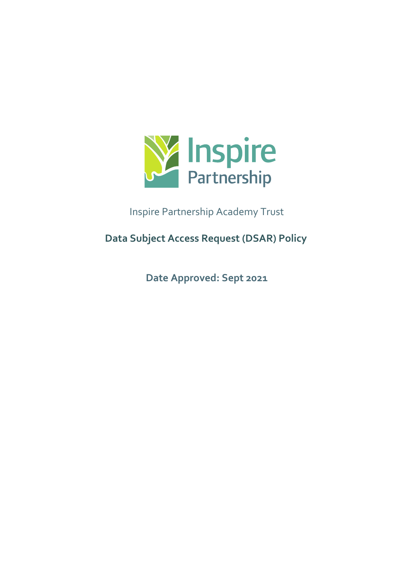

Inspire Partnership Academy Trust

**Data Subject Access Request (DSAR) Policy**

**Date Approved: Sept 2021**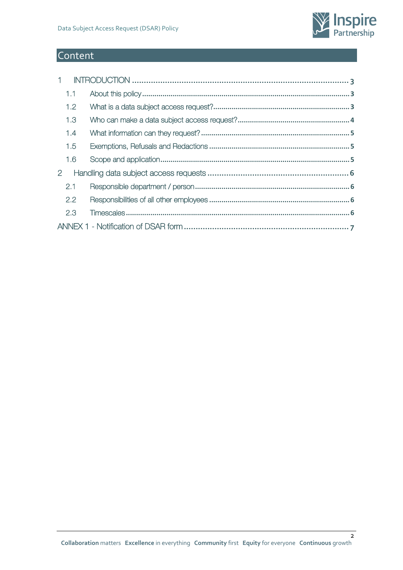

# **Content**

| $1 -$                 |     |  |  |  |  |
|-----------------------|-----|--|--|--|--|
|                       | 1.1 |  |  |  |  |
|                       | 1.2 |  |  |  |  |
|                       | 1,3 |  |  |  |  |
|                       | 1.4 |  |  |  |  |
|                       | 1.5 |  |  |  |  |
|                       | 1.6 |  |  |  |  |
| $\mathbf{2}^{\prime}$ |     |  |  |  |  |
|                       | 2.1 |  |  |  |  |
|                       | 2.2 |  |  |  |  |
|                       | 2.3 |  |  |  |  |
|                       |     |  |  |  |  |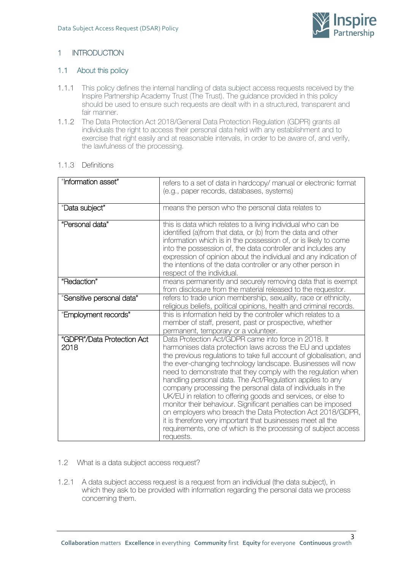

# <span id="page-2-0"></span>1 INTRODUCTION

## <span id="page-2-1"></span>1.1 About this policy

- 1.1.1 This policy defines the internal handling of data subject access requests received by the Inspire Partnership Academy Trust (The Trust). The guidance provided in this policy should be used to ensure such requests are dealt with in a structured, transparent and fair manner.
- 1.1.2 The Data Protection Act 2018/General Data Protection Regulation (GDPR) grants all individuals the right to access their personal data held with any establishment and to exercise that right easily and at reasonable intervals, in order to be aware of, and verify, the lawfulness of the processing.

#### 1.1.3 Definitions

| "Information asset"                | refers to a set of data in hardcopy/ manual or electronic format<br>(e.g., paper records, databases, systems)                                                                                                                                                                                                                                                                                                                                                                                                                                                                                                                                                                                                                                                                                    |
|------------------------------------|--------------------------------------------------------------------------------------------------------------------------------------------------------------------------------------------------------------------------------------------------------------------------------------------------------------------------------------------------------------------------------------------------------------------------------------------------------------------------------------------------------------------------------------------------------------------------------------------------------------------------------------------------------------------------------------------------------------------------------------------------------------------------------------------------|
| "Data subject"                     | means the person who the personal data relates to                                                                                                                                                                                                                                                                                                                                                                                                                                                                                                                                                                                                                                                                                                                                                |
| "Personal data"                    | this is data which relates to a living individual who can be<br>identified (a)from that data, or (b) from the data and other<br>information which is in the possession of, or is likely to come<br>into the possession of, the data controller and includes any<br>expression of opinion about the individual and any indication of<br>the intentions of the data controller or any other person in<br>respect of the individual.                                                                                                                                                                                                                                                                                                                                                                |
| "Redaction"                        | means permanently and securely removing data that is exempt<br>from disclosure from the material released to the requestor.                                                                                                                                                                                                                                                                                                                                                                                                                                                                                                                                                                                                                                                                      |
| "Sensitive personal data"          | refers to trade union membership, sexuality, race or ethnicity,<br>religious beliefs, political opinions, health and criminal records.                                                                                                                                                                                                                                                                                                                                                                                                                                                                                                                                                                                                                                                           |
| "Employment records"               | this is information held by the controller which relates to a<br>member of staff, present, past or prospective, whether<br>permanent, temporary or a volunteer.                                                                                                                                                                                                                                                                                                                                                                                                                                                                                                                                                                                                                                  |
| "GDPR"/Data Protection Act<br>2018 | Data Protection Act/GDPR came into force in 2018. It<br>harmonises data protection laws across the EU and updates<br>the previous regulations to take full account of globalisation, and<br>the ever-changing technology landscape. Businesses will now<br>need to demonstrate that they comply with the regulation when<br>handling personal data. The Act/Regulation applies to any<br>company processing the personal data of individuals in the<br>UK/EU in relation to offering goods and services, or else to<br>monitor their behaviour. Significant penalties can be imposed<br>on employers who breach the Data Protection Act 2018/GDPR,<br>it is therefore very important that businesses meet all the<br>requirements, one of which is the processing of subject access<br>requests. |

- <span id="page-2-2"></span>1.2 What is a data subject access request?
- 1.2.1 A data subject access request is a request from an individual (the data subject), in which they ask to be provided with information regarding the personal data we process concerning them.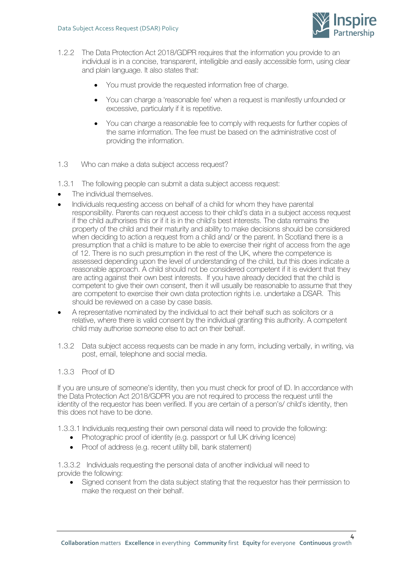

- 1.2.2 The Data Protection Act 2018/GDPR requires that the information you provide to an individual is in a concise, transparent, intelligible and easily accessible form, using clear and plain language. It also states that:
	- You must provide the requested information free of charge.
	- You can charge a 'reasonable fee' when a request is manifestly unfounded or excessive, particularly if it is repetitive.
	- You can charge a reasonable fee to comply with requests for further copies of the same information. The fee must be based on the administrative cost of providing the information.
- <span id="page-3-0"></span>1.3 Who can make a data subject access request?
- 1.3.1 The following people can submit a data subject access request:
- The individual themselves.
- Individuals requesting access on behalf of a child for whom they have parental responsibility. Parents can request access to their child's data in a subject access request if the child authorises this or if it is in the child's best interests. The data remains the property of the child and their maturity and ability to make decisions should be considered when deciding to action a request from a child and/ or the parent. In Scotland there is a presumption that a child is mature to be able to exercise their right of access from the age of 12. There is no such presumption in the rest of the UK, where the competence is assessed depending upon the level of understanding of the child, but this does indicate a reasonable approach. A child should not be considered competent if it is evident that they are acting against their own best interests. If you have already decided that the child is competent to give their own consent, then it will usually be reasonable to assume that they are competent to exercise their own data protection rights i.e. undertake a DSAR. This should be reviewed on a case by case basis.
- A representative nominated by the individual to act their behalf such as solicitors or a relative, where there is valid consent by the individual granting this authority. A competent child may authorise someone else to act on their behalf.
- 1.3.2 Data subject access requests can be made in any form, including verbally, in writing, via post, email, telephone and social media.

#### 1.3.3 Proof of ID

If you are unsure of someone's identity, then you must check for proof of ID. In accordance with the Data Protection Act 2018/GDPR you are not required to process the request until the identity of the requestor has been verified. If you are certain of a person's/ child's identity, then this does not have to be done.

1.3.3.1 Individuals requesting their own personal data will need to provide the following:

- Photographic proof of identity (e.g. passport or full UK driving licence)
- Proof of address (e.g. recent utility bill, bank statement)

1.3.3.2 Individuals requesting the personal data of another individual will need to provide the following:

• Signed consent from the data subject stating that the requestor has their permission to make the request on their behalf.

4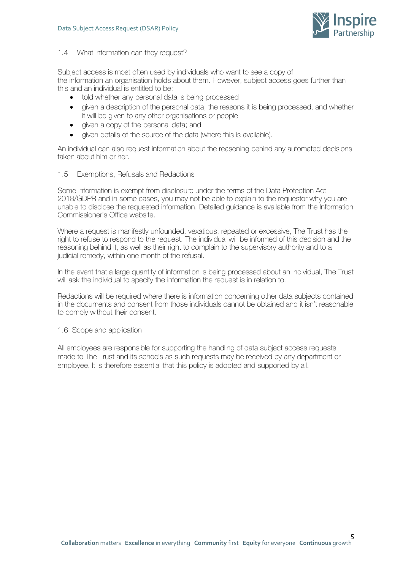

#### <span id="page-4-0"></span>1.4 What information can they request?

Subject access is most often used by individuals who want to see a copy of the information an organisation holds about them. However, subject access goes further than this and an individual is entitled to be:

- told whether any personal data is being processed
- given a description of the personal data, the reasons it is being processed, and whether it will be given to any other organisations or people
- given a copy of the personal data; and
- given details of the source of the data (where this is available).

An individual can also request information about the reasoning behind any automated decisions taken about him or her.

#### <span id="page-4-1"></span>1.5 Exemptions, Refusals and Redactions

Some information is exempt from disclosure under the terms of the Data Protection Act 2018/GDPR and in some cases, you may not be able to explain to the requestor why you are unable to disclose the requested information. Detailed guidance is available from the Information Commissioner's Office website.

Where a request is manifestly unfounded, vexatious, repeated or excessive, The Trust has the right to refuse to respond to the request. The individual will be informed of this decision and the reasoning behind it, as well as their right to complain to the supervisory authority and to a judicial remedy, within one month of the refusal.

In the event that a large quantity of information is being processed about an individual, The Trust will ask the individual to specify the information the request is in relation to.

Redactions will be required where there is information concerning other data subjects contained in the documents and consent from those individuals cannot be obtained and it isn't reasonable to comply without their consent.

<span id="page-4-2"></span>1.6 Scope and application

All employees are responsible for supporting the handling of data subject access requests made to The Trust and its schools as such requests may be received by any department or employee. It is therefore essential that this policy is adopted and supported by all.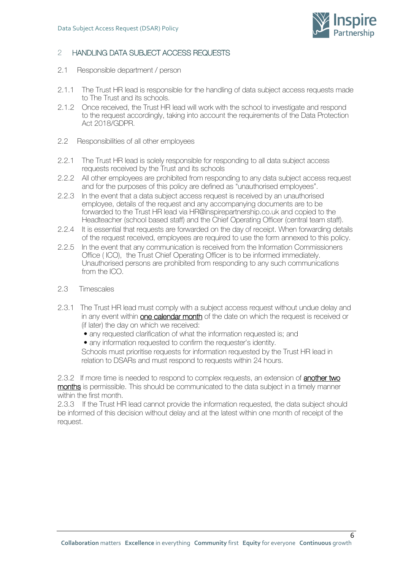

# <span id="page-5-0"></span>2 HANDLING DATA SUBJECT ACCESS REQUESTS

- <span id="page-5-1"></span>2.1 Responsible department / person
- 2.1.1 The Trust HR lead is responsible for the handling of data subject access requests made to The Trust and its schools.
- 2.1.2 Once received, the Trust HR lead will work with the school to investigate and respond to the request accordingly, taking into account the requirements of the Data Protection Act 2018/GDPR.
- <span id="page-5-2"></span>2.2 Responsibilities of all other employees
- 2.2.1 The Trust HR lead is solely responsible for responding to all data subject access requests received by the Trust and its schools
- 2.2.2 All other employees are prohibited from responding to any data subject access request and for the purposes of this policy are defined as "unauthorised employees".
- 2.2.3 In the event that a data subject access request is received by an unauthorised employee, details of the request and any accompanying documents are to be forwarded to the Trust HR lead via HR@inspirepartnership.co.uk and copied to the Headteacher (school based staff) and the Chief Operating Officer (central team staff).
- 2.2.4 It is essential that requests are forwarded on the day of receipt. When forwarding details of the request received, employees are required to use the form annexed to this policy.
- 2.2.5 In the event that any communication is received from the Information Commissioners Office ( ICO), the Trust Chief Operating Officer is to be informed immediately. Unauthorised persons are prohibited from responding to any such communications from the ICO.
- <span id="page-5-3"></span>2.3 Timescales
- 2.3.1 The Trust HR lead must comply with a subject access request without undue delay and in any event within one calendar month of the date on which the request is received or (if later) the day on which we received:
	- any requested clarification of what the information requested is; and
	- any information requested to confirm the requester's identity.

Schools must prioritise requests for information requested by the Trust HR lead in relation to DSARs and must respond to requests within 24 hours.

2.3.2 If more time is needed to respond to complex requests, an extension of **another two** months is permissible. This should be communicated to the data subject in a timely manner within the first month.

2.3.3 If the Trust HR lead cannot provide the information requested, the data subject should be informed of this decision without delay and at the latest within one month of receipt of the request.

6